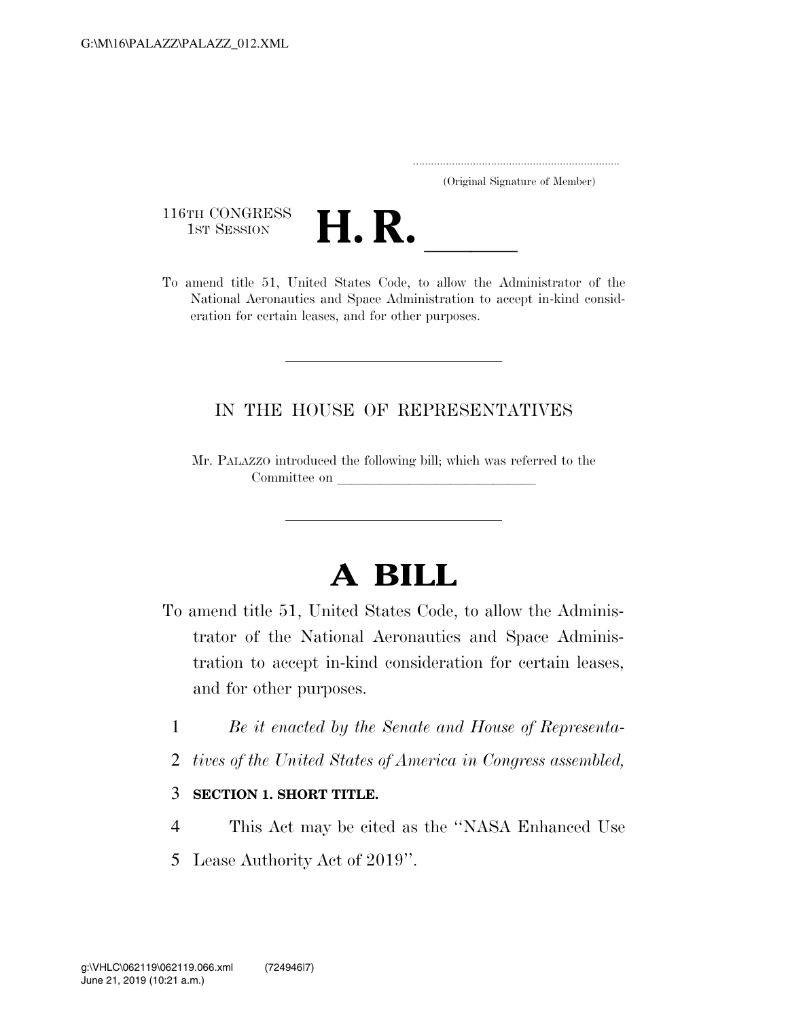..................................................................... (Original Signature of Member)

116TH CONGRESS<br>1st Session



116TH CONGRESS<br>1st SESSION<br>To amend title 51, United States Code, to allow the Administrator of the National Aeronautics and Space Administration to accept in-kind consideration for certain leases, and for other purposes.

## IN THE HOUSE OF REPRESENTATIVES

Mr. PALAZZO introduced the following bill; which was referred to the Committee on

## **A BILL**

- To amend title 51, United States Code, to allow the Administrator of the National Aeronautics and Space Administration to accept in-kind consideration for certain leases, and for other purposes.
	- 1 *Be it enacted by the Senate and House of Representa-*
	- 2 *tives of the United States of America in Congress assembled,*

## 3 **SECTION 1. SHORT TITLE.**

- 4 This Act may be cited as the ''NASA Enhanced Use
- 5 Lease Authority Act of 2019''.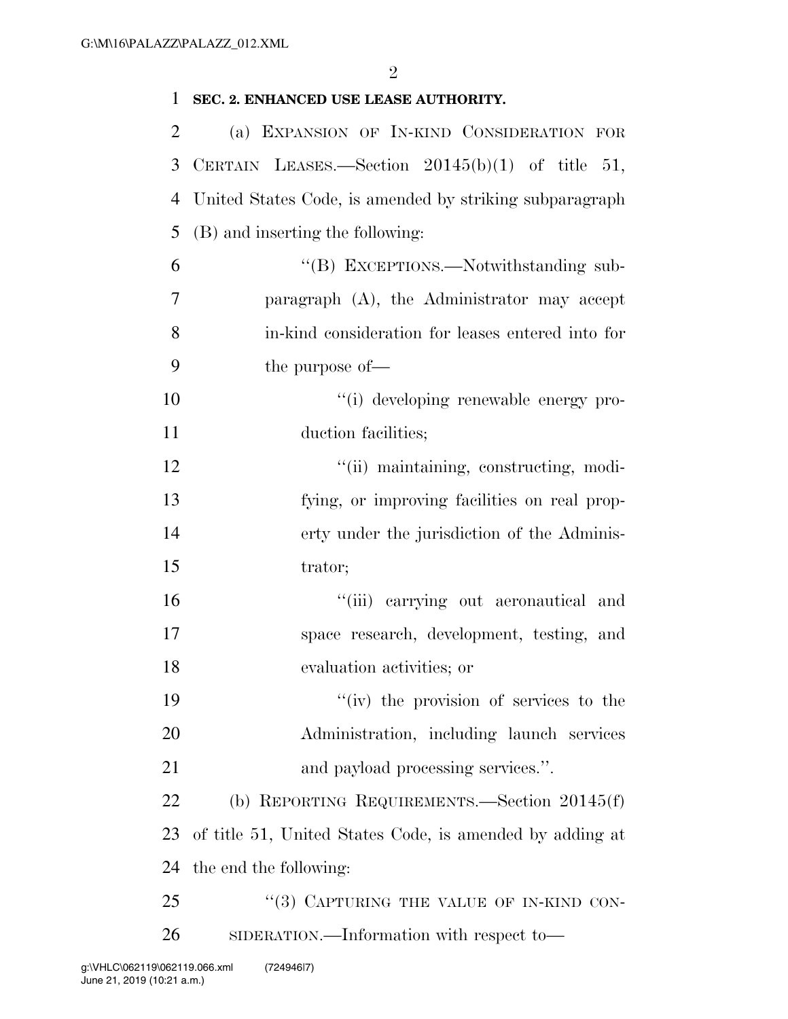| $\mathbf{1}$   | SEC. 2. ENHANCED USE LEASE AUTHORITY.                    |
|----------------|----------------------------------------------------------|
| $\overline{2}$ | (a) EXPANSION OF IN-KIND CONSIDERATION FOR               |
| 3              | CERTAIN LEASES.—Section 20145(b)(1) of title 51,         |
| 4              | United States Code, is amended by striking subparagraph  |
| 5              | (B) and inserting the following:                         |
| 6              | "(B) EXCEPTIONS.—Notwithstanding sub-                    |
| 7              | paragraph $(A)$ , the Administrator may accept           |
| 8              | in-kind consideration for leases entered into for        |
| 9              | the purpose of—                                          |
| 10             | "(i) developing renewable energy pro-                    |
| 11             | duction facilities;                                      |
| 12             | "(ii) maintaining, constructing, modi-                   |
| 13             | fying, or improving facilities on real prop-             |
| 14             | erty under the jurisdiction of the Adminis-              |
| 15             | trator;                                                  |
| 16             | "(iii) carrying out aeronautical and                     |
| 17             | space research, development, testing, and                |
| 18             | evaluation activities; or                                |
| 19             | "(iv) the provision of services to the                   |
| 20             | Administration, including launch services                |
| 21             | and payload processing services.".                       |
| 22             | (b) REPORTING REQUIREMENTS.—Section $20145(f)$           |
| 23             | of title 51, United States Code, is amended by adding at |
| 24             | the end the following:                                   |
| 25             | "(3) CAPTURING THE VALUE OF IN-KIND CON-                 |
| 26             | SIDERATION.—Information with respect to—                 |
|                |                                                          |